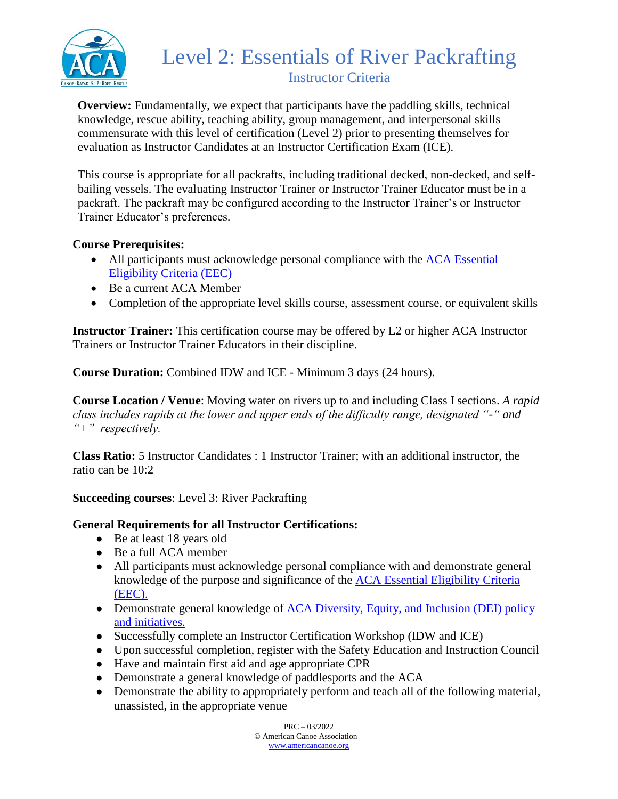

# Level 2: Essentials of River Packrafting Instructor Criteria

**Overview:** Fundamentally, we expect that participants have the paddling skills, technical knowledge, rescue ability, teaching ability, group management, and interpersonal skills commensurate with this level of certification (Level 2) prior to presenting themselves for evaluation as Instructor Candidates at an Instructor Certification Exam (ICE).

This course is appropriate for all packrafts, including traditional decked, non-decked, and selfbailing vessels. The evaluating Instructor Trainer or Instructor Trainer Educator must be in a packraft. The packraft may be configured according to the Instructor Trainer's or Instructor Trainer Educator's preferences.

### **Course Prerequisites:**

- All participants must acknowledge personal compliance with the ACA Essential [Eligibility Criteria \(EEC\)](https://americancanoe.org/essential-eligibility-criteria/)
- Be a current ACA Member
- Completion of the appropriate level skills course, assessment course, or equivalent skills

**Instructor Trainer:** This certification course may be offered by L2 or higher ACA Instructor Trainers or Instructor Trainer Educators in their discipline.

**Course Duration:** Combined IDW and ICE - Minimum 3 days (24 hours).

**Course Location / Venue**: Moving water on rivers up to and including Class I sections. *A rapid class includes rapids at the lower and upper ends of the difficulty range, designated "-" and "+" respectively.*

**Class Ratio:** 5 Instructor Candidates : 1 Instructor Trainer; with an additional instructor, the ratio can be 10:2

**Succeeding courses**: Level 3: River Packrafting

#### **General Requirements for all Instructor Certifications:**

- Be at least 18 years old
- Be a full ACA member
- All participants must acknowledge personal compliance with and demonstrate general knowledge of the purpose and significance of the [ACA Essential Eligibility Criteria](https://americancanoe.org/essential-eligibility-criteria/)  [\(EEC\).](https://americancanoe.org/essential-eligibility-criteria/)
- Demonstrate general knowledge of ACA Diversity, Equity, and Inclusion (DEI) policy [and initiatives.](https://americancanoe.org/dei/)
- Successfully complete an Instructor Certification Workshop (IDW and ICE)
- Upon successful completion, register with the Safety Education and Instruction Council
- Have and maintain first aid and age appropriate CPR
- Demonstrate a general knowledge of paddlesports and the ACA
- Demonstrate the ability to appropriately perform and teach all of the following material, unassisted, in the appropriate venue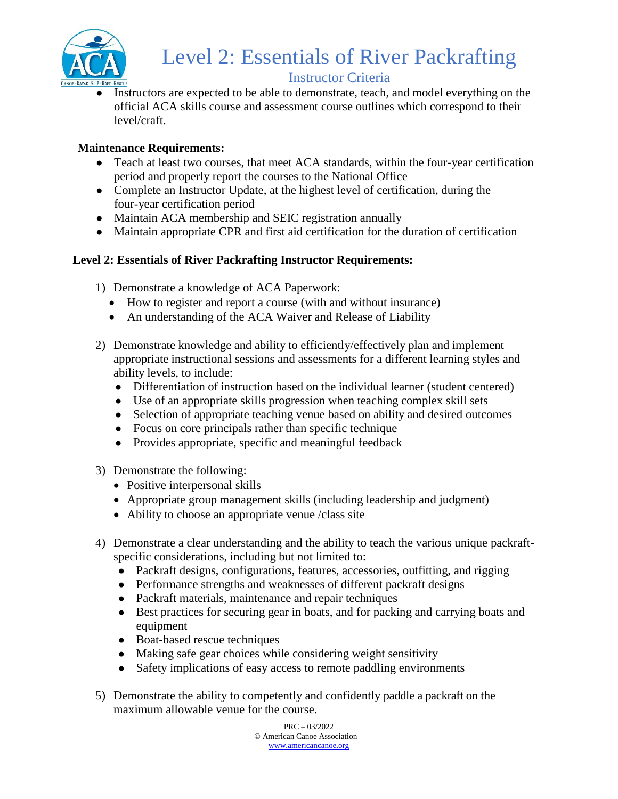

# Level 2: Essentials of River Packrafting

# Instructor Criteria

• Instructors are expected to be able to demonstrate, teach, and model everything on the official ACA skills course and assessment course outlines which correspond to their level/craft.

## **Maintenance Requirements:**

- Teach at least two courses, that meet ACA standards, within the four-year certification period and properly report the courses to the National Office
- Complete an Instructor Update, at the highest level of certification, during the four-year certification period
- Maintain ACA membership and SEIC registration annually
- Maintain appropriate CPR and first aid certification for the duration of certification

# **Level 2: Essentials of River Packrafting Instructor Requirements:**

- 1) Demonstrate a knowledge of ACA Paperwork:
	- How to register and report a course (with and without insurance)
	- An understanding of the ACA Waiver and Release of Liability
- 2) Demonstrate knowledge and ability to efficiently/effectively plan and implement appropriate instructional sessions and assessments for a different learning styles and ability levels, to include:
	- Differentiation of instruction based on the individual learner (student centered)
	- Use of an appropriate skills progression when teaching complex skill sets
	- Selection of appropriate teaching venue based on ability and desired outcomes
	- Focus on core principals rather than specific technique
	- Provides appropriate, specific and meaningful feedback
- 3) Demonstrate the following:
	- Positive interpersonal skills
	- Appropriate group management skills (including leadership and judgment)
	- Ability to choose an appropriate venue /class site
- 4) Demonstrate a clear understanding and the ability to teach the various unique packraftspecific considerations, including but not limited to:
	- Packraft designs, configurations, features, accessories, outfitting, and rigging
	- Performance strengths and weaknesses of different packraft designs
	- Packraft materials, maintenance and repair techniques
	- Best practices for securing gear in boats, and for packing and carrying boats and equipment
	- Boat-based rescue techniques
	- Making safe gear choices while considering weight sensitivity
	- Safety implications of easy access to remote paddling environments
- 5) Demonstrate the ability to competently and confidently paddle a packraft on the maximum allowable venue for the course.